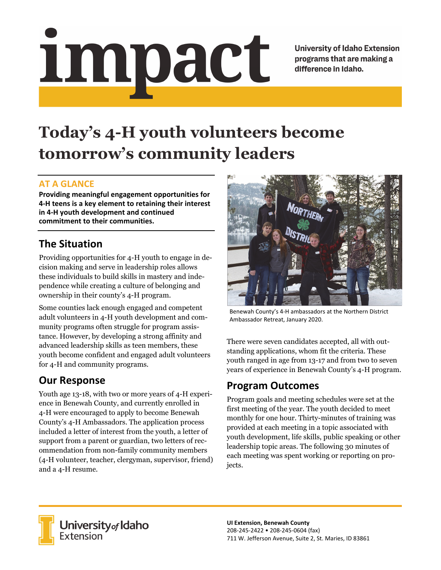# Impact

**University of Idaho Extension** programs that are making a difference in Idaho.

# **Today's 4-H youth volunteers become tomorrow's community leaders**

#### **AT A GLANCE**

**Providing meaningful engagement opportunities for 4‐H teens is a key element to retaining their interest in 4‐H youth development and continued commitment to their communities.**

## **The Situation**

Providing opportunities for 4-H youth to engage in decision making and serve in leadership roles allows these individuals to build skills in mastery and independence while creating a culture of belonging and ownership in their county's 4-H program.

Some counties lack enough engaged and competent adult volunteers in 4-H youth development and community programs often struggle for program assistance. However, by developing a strong affinity and advanced leadership skills as teen members, these youth become confident and engaged adult volunteers for 4-H and community programs.

### **Our Response**

Youth age 13-18, with two or more years of 4-H experience in Benewah County, and currently enrolled in 4-H were encouraged to apply to become Benewah County's 4-H Ambassadors. The application process included a letter of interest from the youth, a letter of support from a parent or guardian, two letters of recommendation from non-family community members (4-H volunteer, teacher, clergyman, supervisor, friend) and a 4-H resume.



Benewah County's 4‐H ambassadors at the Northern District Ambassador Retreat, January 2020.

There were seven candidates accepted, all with outstanding applications, whom fit the criteria. These youth ranged in age from 13-17 and from two to seven years of experience in Benewah County's 4-H program.

#### **Program Outcomes**

Program goals and meeting schedules were set at the first meeting of the year. The youth decided to meet monthly for one hour. Thirty-minutes of training was provided at each meeting in a topic associated with youth development, life skills, public speaking or other leadership topic areas. The following 30 minutes of each meeting was spent working or reporting on projects.



**University** of Idaho<br>Extension